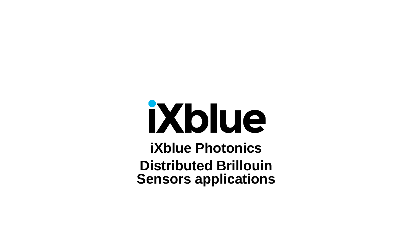# iXblue

**iXblue Photonics Distributed Brillouin Sensors applications**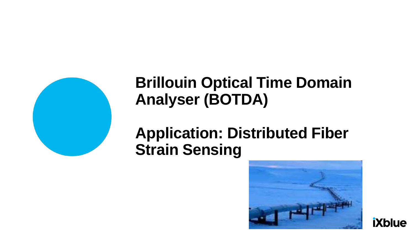

# **Brillouin Optical Time Domain Analyser (BOTDA)**

## **Application: Distributed Fiber Strain Sensing**



**iXblue**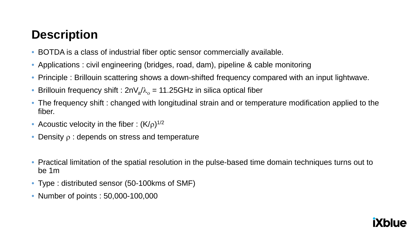## **Description**

- BOTDA is a class of industrial fiber optic sensor commercially available.
- Applications : civil engineering (bridges, road, dam), pipeline & cable monitoring
- Principle : Brillouin scattering shows a down-shifted frequency compared with an input lightwave.
- Brillouin frequency shift :  $2nV_a/\lambda_a = 11.25GHz$  in silica optical fiber
- The frequency shift : changed with longitudinal strain and or temperature modification applied to the fiber.
- Acoustic velocity in the fiber :  $(K/\rho)^{1/2}$
- Density  $\rho$  : depends on stress and temperature
- Practical limitation of the spatial resolution in the pulse-based time domain techniques turns out to be 1m
- Type : distributed sensor (50-100kms of SMF)
- Number of points : 50,000-100,000

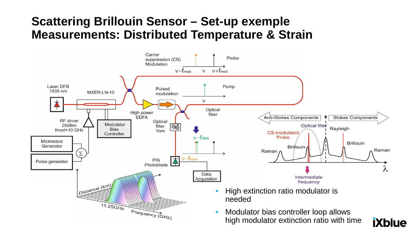#### **Scattering Brillouin Sensor – Set-up exemple Measurements: Distributed Temperature & Strain**

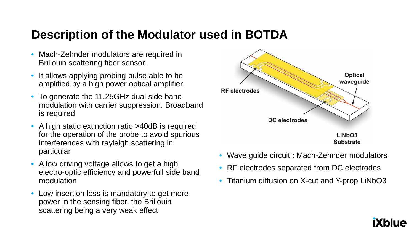#### **Description of the Modulator used in BOTDA**

- Mach-Zehnder modulators are required in Brillouin scattering fiber sensor.
- It allows applying probing pulse able to be amplified by a high power optical amplifier.
- To generate the 11.25GHz dual side band modulation with carrier suppression. Broadband is required
- A high static extinction ratio >40dB is required for the operation of the probe to avoid spurious interferences with rayleigh scattering in particular
- A low driving voltage allows to get a high electro-optic efficiency and powerfull side band modulation
- Low insertion loss is mandatory to get more power in the sensing fiber, the Brillouin scattering being a very weak effect



- Wave guide circuit : Mach-Zehnder modulators
- RF electrodes separated from DC electrodes
- Titanium diffusion on X-cut and Y-prop LiNbO3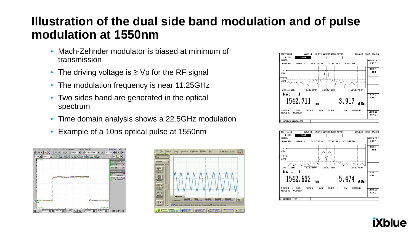### **Illustration of the dual side band modulation and of pulse modulation at 1550nm**

- Mach-Zehnder modulator is biased at minimum of transmission
- The driving voltage is ≥ Vp for the RF signal
- The modulation frequency is near 11.25GHz
- Two sides band are generated in the optical spectrum
- Time domain analysis shows a 22.5GHz modulation
- Example of a 10ns optical pulse at 1550nm









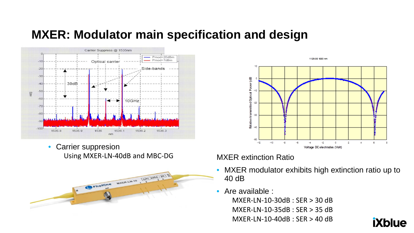#### **MXER: Modulator main specification and design**



• Carrier suppresion Using MXER-LN-40dB and MBC-DG





#### MXER extinction Ratio

- MXER modulator exhibits high extinction ratio up to 40 dB
- Are available :

MXER-LN-10-30dB : SER > 30 dB MXER-LN-10-35dB : SER > 35 dB MXER-LN-10-40dB : SER > 40 dB

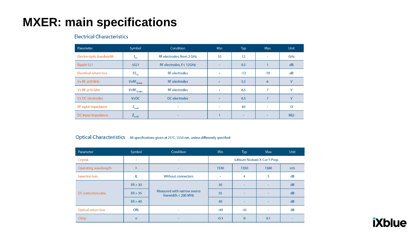## **MXER: main specifications**

#### **Electrical Characteristics**

| Parameter               | Symbol                      | Condition                 | <b>Min</b>               | Typ    | Max                      | Unit      |
|-------------------------|-----------------------------|---------------------------|--------------------------|--------|--------------------------|-----------|
| Electro-optic bandwidth | $S_{21}$                    | RF electrodes, from 2 GHz | 10                       | 12     | $\sim$                   | GHz       |
| Ripple S21              | $\Delta$ S21                | RF electrodes, f < 12GHz  | $\overline{\phantom{a}}$ | 0.5    |                          | dB        |
| Electrical return loss  | $ES_{11}$                   | <b>RF</b> electrodes      |                          | $-12$  | $-10$                    | dB        |
| $V\pi$ RF @50 kHz       | $V\pi RF_{50\,kHz}$         | <b>RF</b> electrodes      |                          | 5.5    | 6                        | $\vee$    |
| $V\pi$ RF @10 GHz       | $V\pi RF$ <sub>10 GHz</sub> | <b>RF</b> electrodes      |                          | 6.5    | $\overline{ }$           | v         |
| $V_{\pi}$ DC electrodes | $V_{\pi}DC$                 | DC electrodes             |                          | 6.5    |                          | V         |
| RF input impedance      | $Z_{\text{in-RF}}$          | ۰                         | $\overline{\phantom{a}}$ | 40     | $\sim$                   | $\Omega$  |
| DC input impedance      | $Z_{\text{in-DC}}$          | ۰                         |                          | $\sim$ | $\overline{\phantom{a}}$ | $M\Omega$ |

#### Optical Characteristics All specifications given at 25°C, 1550 nm, unless differently specified

| Parameter             | Symbol     | Condition                                          | <b>Min</b>                   | Typ          | Max  | Unit |  |
|-----------------------|------------|----------------------------------------------------|------------------------------|--------------|------|------|--|
| Crystal               | $\sim$     | ٠                                                  | Lithium Niobate X-Cut Y-Prop |              |      |      |  |
| Operating wavelength  | $\lambda$  | $\overline{\phantom{a}}$                           | 1530                         | 1550         | 1580 | nm   |  |
| <b>Insertion loss</b> | IL         | <b>Without connectors</b>                          | $\overline{\phantom{a}}$     | 4            | 5    | dB   |  |
| DC extinction ratio   | ER > 30    | Measured with narrow source<br>linewidth < 200 MHz | 30                           | -            |      | dB   |  |
|                       | ER > 35    |                                                    | 35                           | -            |      | dB   |  |
|                       | ER > 40    |                                                    | 40                           | ۰            |      | dB   |  |
| Optical return loss   | <b>ORL</b> | $\sim$                                             | $-40$                        | -45          |      | dB   |  |
| Chirp                 | $\alpha$   | $\sim$                                             | $-0.1$                       | $\mathbf{0}$ | 0.1  |      |  |

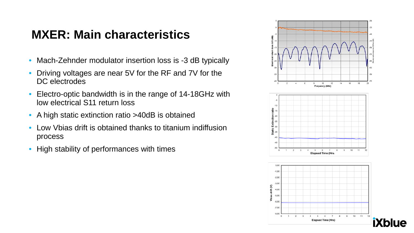### **MXER: Main characteristics**

- Mach-Zehnder modulator insertion loss is -3 dB typically
- Driving voltages are near 5V for the RF and 7V for the DC electrodes
- Electro-optic bandwidth is in the range of 14-18GHz with low electrical S11 return loss
- A high static extinction ratio >40dB is obtained
- Low Vbias drift is obtained thanks to titanium indiffusion process
- High stability of performances with times

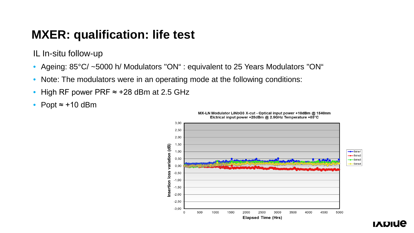#### **MXER: qualification: life test**

IL In-situ follow-up

- Ageing: 85°C/ ~5000 h/ Modulators "ON" : equivalent to 25 Years Modulators "ON"
- Note: The modulators were in an operating mode at the following conditions:
- High RF power PRF ≈ +28 dBm at 2.5 GHz
- Popt  $\approx$  +10 dBm



MX-LN Modulator LiNbO3 X-cut - Optical input power +10dBm @ 1540nm Elctrical input power +28dBm @ 2.5GHz Temperature +85°C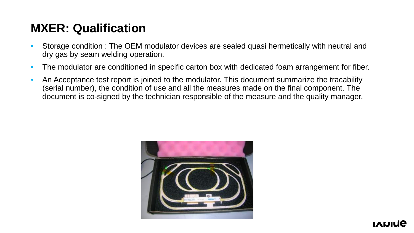#### **MXER: Qualification**

- Storage condition : The OEM modulator devices are sealed quasi hermetically with neutral and dry gas by seam welding operation.
- The modulator are conditioned in specific carton box with dedicated foam arrangement for fiber.
- An Acceptance test report is joined to the modulator. This document summarize the tracability (serial number), the condition of use and all the measures made on the final component. The document is co-signed by the technician responsible of the measure and the quality manager.

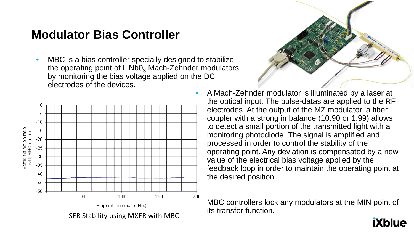#### **Modulator Bias Controller**

• MBC is a bias controller specially designed to stabilize the operating point of  $LiNbO<sub>3</sub>$  Mach-Zehnder modulators by monitoring the bias voltage applied on the DC electrodes of the devices.





• A Mach-Zehnder modulator is illuminated by a laser at the optical input. The pulse-datas are applied to the RF electrodes. At the output of the MZ modulator, a fiber coupler with a strong imbalance (10:90 or 1:99) allows to detect a small portion of the transmitted light with a monitoring photodiode. The signal is amplified and processed in order to control the stability of the operating point. Any deviation is compensated by a new value of the electrical bias voltage applied by the feedback loop in order to maintain the operating point at the desired position.

MBC controllers lock any modulators at the MIN point of its transfer function.

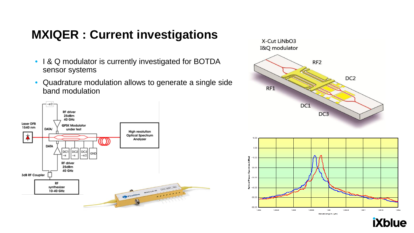#### **MXIQER : Current investigations**

- I & Q modulator is currently investigated for BOTDA sensor systems
- Quadrature modulation allows to generate a single side band modulation







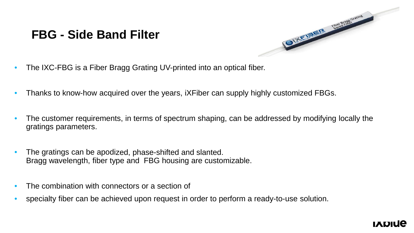#### **FBG - Side Band Filter**



- The IXC-FBG is a Fiber Bragg Grating UV-printed into an optical fiber.
- Thanks to know-how acquired over the years, iXFiber can supply highly customized FBGs.
- The customer requirements, in terms of spectrum shaping, can be addressed by modifying locally the gratings parameters.
- The gratings can be apodized, phase-shifted and slanted. Bragg wavelength, fiber type and FBG housing are customizable.
- The combination with connectors or a section of
- specialty fiber can be achieved upon request in order to perform a ready-to-use solution.